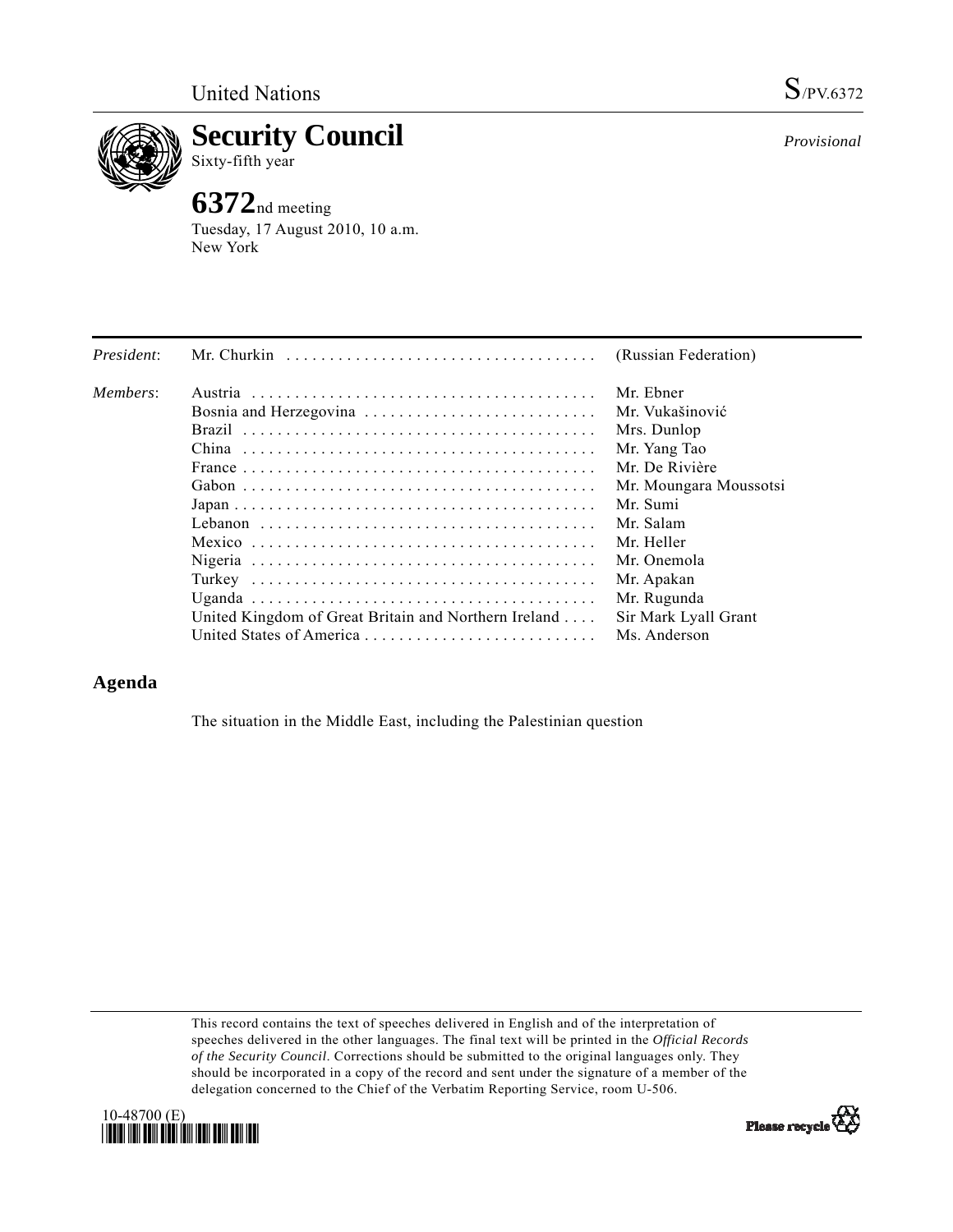

**Security Council**  Sixty-fifth year

## **6372**nd meeting

Tuesday, 17 August 2010, 10 a.m. New York

| President: | Mr. Churkin $\ldots \ldots \ldots \ldots \ldots \ldots \ldots \ldots \ldots \ldots$                           | (Russian Federation)   |
|------------|---------------------------------------------------------------------------------------------------------------|------------------------|
| Members:   |                                                                                                               | Mr. Ebner              |
|            |                                                                                                               | Mr. Vukašinović        |
|            | Brazil                                                                                                        | Mrs. Dunlop            |
|            |                                                                                                               | Mr. Yang Tao           |
|            | France $\ldots \ldots \ldots \ldots \ldots \ldots \ldots \ldots \ldots \ldots \ldots \ldots$                  | Mr. De Rivière         |
|            |                                                                                                               | Mr. Moungara Moussotsi |
|            | $Japan \dots \dots \dots \dots \dots \dots \dots \dots \dots \dots \dots \dots \dots \dots \dots \dots \dots$ | Mr. Sumi               |
|            |                                                                                                               | Mr. Salam              |
|            |                                                                                                               | Mr. Heller             |
|            |                                                                                                               | Mr. Onemola            |
|            |                                                                                                               | Mr. Apakan             |
|            |                                                                                                               | Mr. Rugunda            |
|            | United Kingdom of Great Britain and Northern Ireland                                                          | Sir Mark Lyall Grant   |
|            |                                                                                                               | Ms. Anderson           |

## **Agenda**

The situation in the Middle East, including the Palestinian question

This record contains the text of speeches delivered in English and of the interpretation of speeches delivered in the other languages. The final text will be printed in the *Official Records of the Security Council*. Corrections should be submitted to the original languages only. They should be incorporated in a copy of the record and sent under the signature of a member of the delegation concerned to the Chief of the Verbatim Reporting Service, room U-506.





*Provisional*

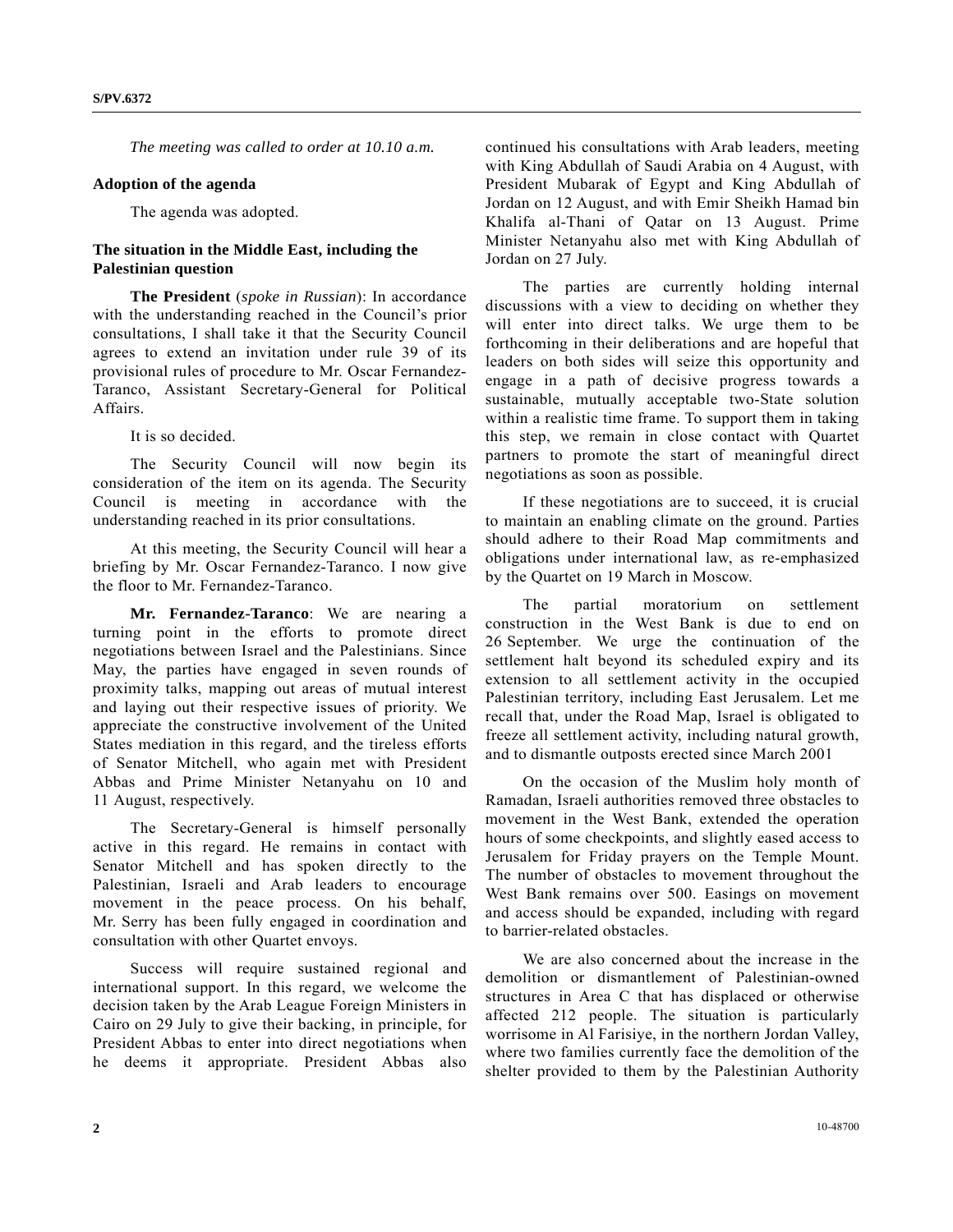*The meeting was called to order at 10.10 a.m.* 

## **Adoption of the agenda**

The agenda was adopted.

## **The situation in the Middle East, including the Palestinian question**

**The President** (*spoke in Russian*): In accordance with the understanding reached in the Council's prior consultations, I shall take it that the Security Council agrees to extend an invitation under rule 39 of its provisional rules of procedure to Mr. Oscar Fernandez-Taranco, Assistant Secretary-General for Political Affairs.

It is so decided.

 The Security Council will now begin its consideration of the item on its agenda. The Security Council is meeting in accordance with the understanding reached in its prior consultations.

 At this meeting, the Security Council will hear a briefing by Mr. Oscar Fernandez-Taranco. I now give the floor to Mr. Fernandez-Taranco.

**Mr. Fernandez-Taranco**: We are nearing a turning point in the efforts to promote direct negotiations between Israel and the Palestinians. Since May, the parties have engaged in seven rounds of proximity talks, mapping out areas of mutual interest and laying out their respective issues of priority. We appreciate the constructive involvement of the United States mediation in this regard, and the tireless efforts of Senator Mitchell, who again met with President Abbas and Prime Minister Netanyahu on 10 and 11 August, respectively.

 The Secretary-General is himself personally active in this regard. He remains in contact with Senator Mitchell and has spoken directly to the Palestinian, Israeli and Arab leaders to encourage movement in the peace process. On his behalf, Mr. Serry has been fully engaged in coordination and consultation with other Quartet envoys.

 Success will require sustained regional and international support. In this regard, we welcome the decision taken by the Arab League Foreign Ministers in Cairo on 29 July to give their backing, in principle, for President Abbas to enter into direct negotiations when he deems it appropriate. President Abbas also

continued his consultations with Arab leaders, meeting with King Abdullah of Saudi Arabia on 4 August, with President Mubarak of Egypt and King Abdullah of Jordan on 12 August, and with Emir Sheikh Hamad bin Khalifa al-Thani of Qatar on 13 August. Prime Minister Netanyahu also met with King Abdullah of Jordan on 27 July.

 The parties are currently holding internal discussions with a view to deciding on whether they will enter into direct talks. We urge them to be forthcoming in their deliberations and are hopeful that leaders on both sides will seize this opportunity and engage in a path of decisive progress towards a sustainable, mutually acceptable two-State solution within a realistic time frame. To support them in taking this step, we remain in close contact with Quartet partners to promote the start of meaningful direct negotiations as soon as possible.

 If these negotiations are to succeed, it is crucial to maintain an enabling climate on the ground. Parties should adhere to their Road Map commitments and obligations under international law, as re-emphasized by the Quartet on 19 March in Moscow.

 The partial moratorium on settlement construction in the West Bank is due to end on 26 September. We urge the continuation of the settlement halt beyond its scheduled expiry and its extension to all settlement activity in the occupied Palestinian territory, including East Jerusalem. Let me recall that, under the Road Map, Israel is obligated to freeze all settlement activity, including natural growth, and to dismantle outposts erected since March 2001

 On the occasion of the Muslim holy month of Ramadan, Israeli authorities removed three obstacles to movement in the West Bank, extended the operation hours of some checkpoints, and slightly eased access to Jerusalem for Friday prayers on the Temple Mount. The number of obstacles to movement throughout the West Bank remains over 500. Easings on movement and access should be expanded, including with regard to barrier-related obstacles.

 We are also concerned about the increase in the demolition or dismantlement of Palestinian-owned structures in Area C that has displaced or otherwise affected 212 people. The situation is particularly worrisome in Al Farisiye, in the northern Jordan Valley, where two families currently face the demolition of the shelter provided to them by the Palestinian Authority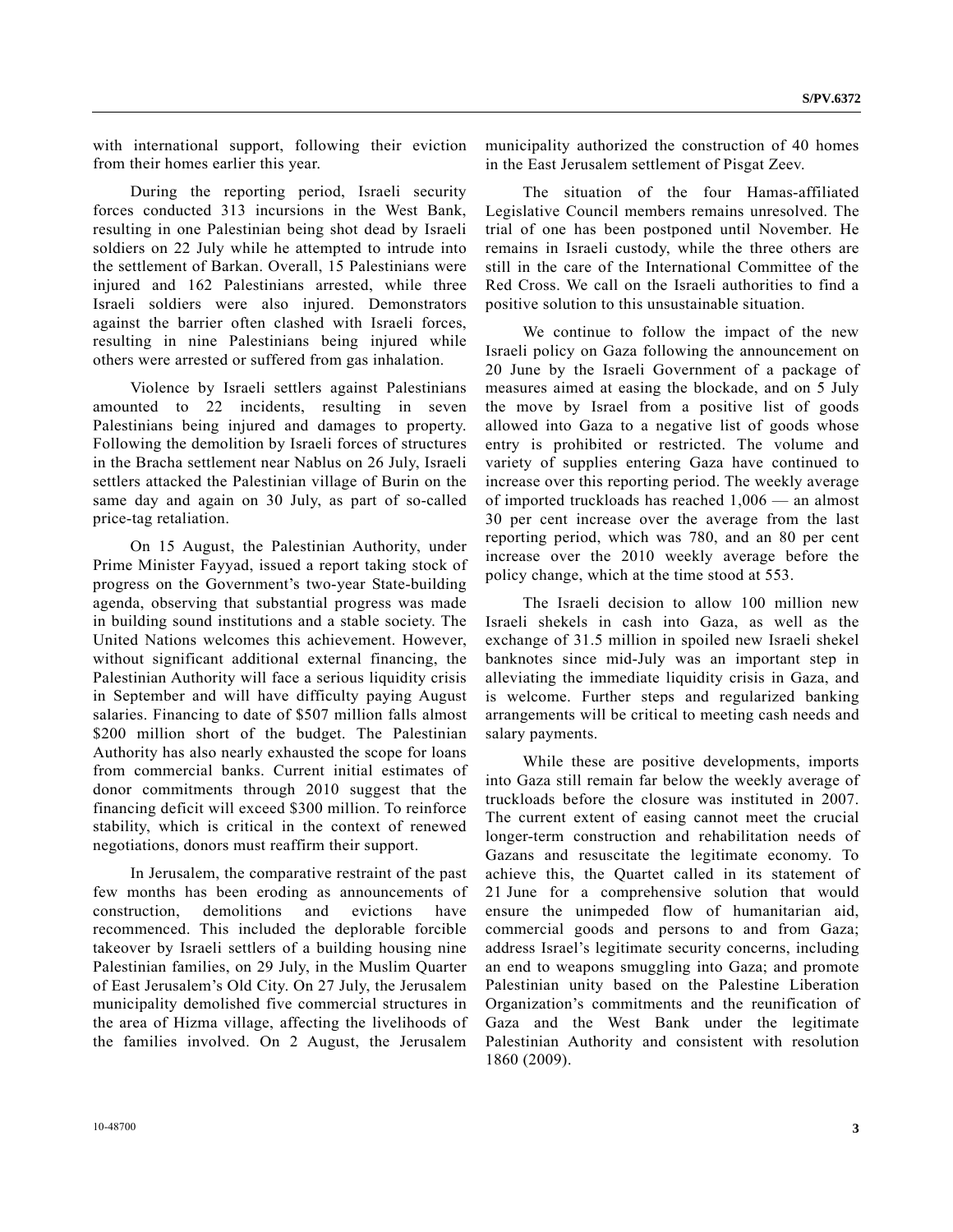with international support, following their eviction from their homes earlier this year.

 During the reporting period, Israeli security forces conducted 313 incursions in the West Bank, resulting in one Palestinian being shot dead by Israeli soldiers on 22 July while he attempted to intrude into the settlement of Barkan. Overall, 15 Palestinians were injured and 162 Palestinians arrested, while three Israeli soldiers were also injured. Demonstrators against the barrier often clashed with Israeli forces, resulting in nine Palestinians being injured while others were arrested or suffered from gas inhalation.

 Violence by Israeli settlers against Palestinians amounted to 22 incidents, resulting in seven Palestinians being injured and damages to property. Following the demolition by Israeli forces of structures in the Bracha settlement near Nablus on 26 July, Israeli settlers attacked the Palestinian village of Burin on the same day and again on 30 July, as part of so-called price-tag retaliation.

 On 15 August, the Palestinian Authority, under Prime Minister Fayyad, issued a report taking stock of progress on the Government's two-year State-building agenda, observing that substantial progress was made in building sound institutions and a stable society. The United Nations welcomes this achievement. However, without significant additional external financing, the Palestinian Authority will face a serious liquidity crisis in September and will have difficulty paying August salaries. Financing to date of \$507 million falls almost \$200 million short of the budget. The Palestinian Authority has also nearly exhausted the scope for loans from commercial banks. Current initial estimates of donor commitments through 2010 suggest that the financing deficit will exceed \$300 million. To reinforce stability, which is critical in the context of renewed negotiations, donors must reaffirm their support.

 In Jerusalem, the comparative restraint of the past few months has been eroding as announcements of construction, demolitions and evictions have recommenced. This included the deplorable forcible takeover by Israeli settlers of a building housing nine Palestinian families, on 29 July, in the Muslim Quarter of East Jerusalem's Old City. On 27 July, the Jerusalem municipality demolished five commercial structures in the area of Hizma village, affecting the livelihoods of the families involved. On 2 August, the Jerusalem

municipality authorized the construction of 40 homes in the East Jerusalem settlement of Pisgat Zeev.

 The situation of the four Hamas-affiliated Legislative Council members remains unresolved. The trial of one has been postponed until November. He remains in Israeli custody, while the three others are still in the care of the International Committee of the Red Cross. We call on the Israeli authorities to find a positive solution to this unsustainable situation.

 We continue to follow the impact of the new Israeli policy on Gaza following the announcement on 20 June by the Israeli Government of a package of measures aimed at easing the blockade, and on 5 July the move by Israel from a positive list of goods allowed into Gaza to a negative list of goods whose entry is prohibited or restricted. The volume and variety of supplies entering Gaza have continued to increase over this reporting period. The weekly average of imported truckloads has reached 1,006 — an almost 30 per cent increase over the average from the last reporting period, which was 780, and an 80 per cent increase over the 2010 weekly average before the policy change, which at the time stood at 553.

 The Israeli decision to allow 100 million new Israeli shekels in cash into Gaza, as well as the exchange of 31.5 million in spoiled new Israeli shekel banknotes since mid-July was an important step in alleviating the immediate liquidity crisis in Gaza, and is welcome. Further steps and regularized banking arrangements will be critical to meeting cash needs and salary payments.

 While these are positive developments, imports into Gaza still remain far below the weekly average of truckloads before the closure was instituted in 2007. The current extent of easing cannot meet the crucial longer-term construction and rehabilitation needs of Gazans and resuscitate the legitimate economy. To achieve this, the Quartet called in its statement of 21 June for a comprehensive solution that would ensure the unimpeded flow of humanitarian aid, commercial goods and persons to and from Gaza; address Israel's legitimate security concerns, including an end to weapons smuggling into Gaza; and promote Palestinian unity based on the Palestine Liberation Organization's commitments and the reunification of Gaza and the West Bank under the legitimate Palestinian Authority and consistent with resolution 1860 (2009).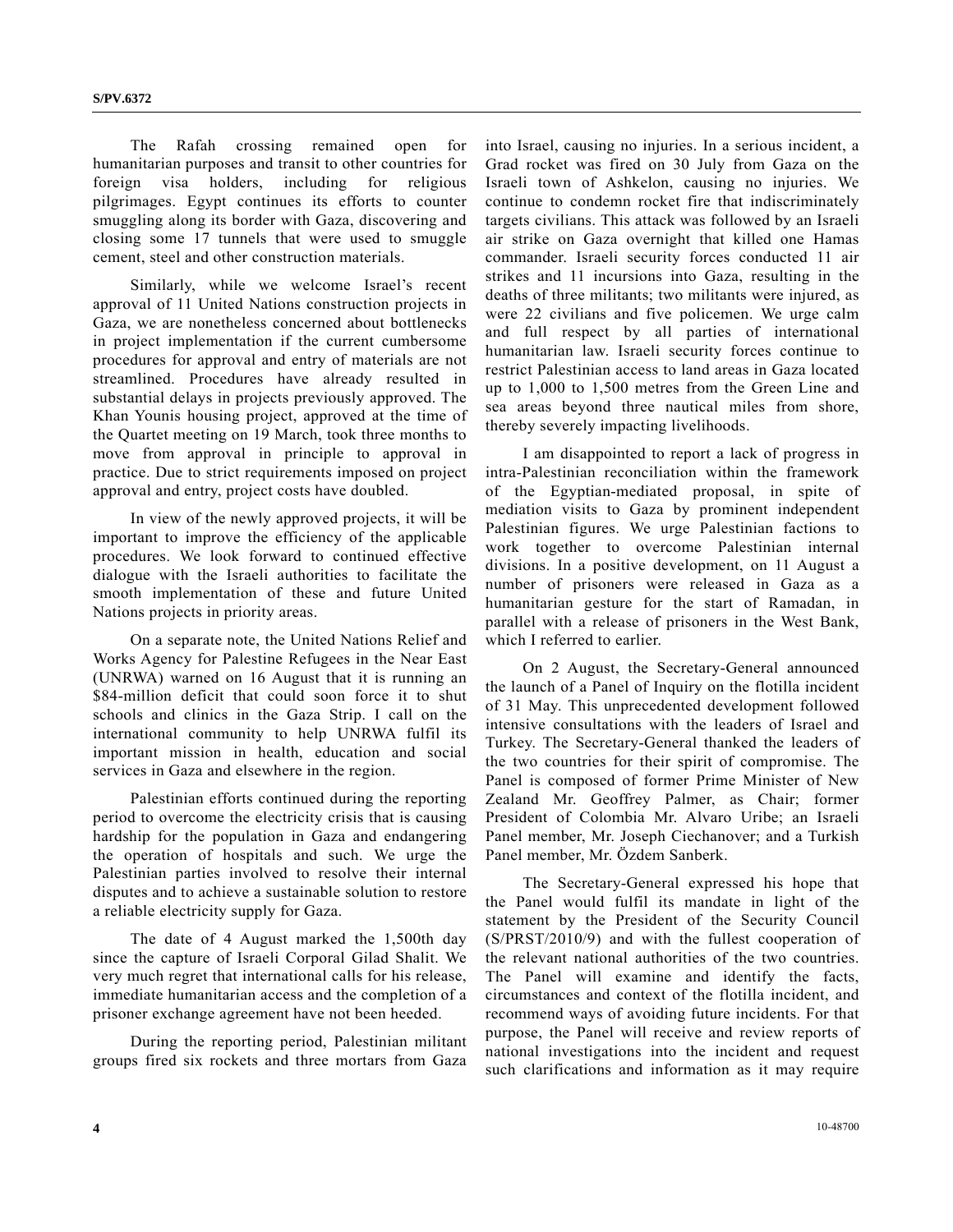The Rafah crossing remained open for humanitarian purposes and transit to other countries for foreign visa holders, including for religious pilgrimages. Egypt continues its efforts to counter smuggling along its border with Gaza, discovering and closing some 17 tunnels that were used to smuggle cement, steel and other construction materials.

 Similarly, while we welcome Israel's recent approval of 11 United Nations construction projects in Gaza, we are nonetheless concerned about bottlenecks in project implementation if the current cumbersome procedures for approval and entry of materials are not streamlined. Procedures have already resulted in substantial delays in projects previously approved. The Khan Younis housing project, approved at the time of the Quartet meeting on 19 March, took three months to move from approval in principle to approval in practice. Due to strict requirements imposed on project approval and entry, project costs have doubled.

 In view of the newly approved projects, it will be important to improve the efficiency of the applicable procedures. We look forward to continued effective dialogue with the Israeli authorities to facilitate the smooth implementation of these and future United Nations projects in priority areas.

 On a separate note, the United Nations Relief and Works Agency for Palestine Refugees in the Near East (UNRWA) warned on 16 August that it is running an \$84-million deficit that could soon force it to shut schools and clinics in the Gaza Strip. I call on the international community to help UNRWA fulfil its important mission in health, education and social services in Gaza and elsewhere in the region.

 Palestinian efforts continued during the reporting period to overcome the electricity crisis that is causing hardship for the population in Gaza and endangering the operation of hospitals and such. We urge the Palestinian parties involved to resolve their internal disputes and to achieve a sustainable solution to restore a reliable electricity supply for Gaza.

 The date of 4 August marked the 1,500th day since the capture of Israeli Corporal Gilad Shalit. We very much regret that international calls for his release, immediate humanitarian access and the completion of a prisoner exchange agreement have not been heeded.

 During the reporting period, Palestinian militant groups fired six rockets and three mortars from Gaza

into Israel, causing no injuries. In a serious incident, a Grad rocket was fired on 30 July from Gaza on the Israeli town of Ashkelon, causing no injuries. We continue to condemn rocket fire that indiscriminately targets civilians. This attack was followed by an Israeli air strike on Gaza overnight that killed one Hamas commander. Israeli security forces conducted 11 air strikes and 11 incursions into Gaza, resulting in the deaths of three militants; two militants were injured, as were 22 civilians and five policemen. We urge calm and full respect by all parties of international humanitarian law. Israeli security forces continue to restrict Palestinian access to land areas in Gaza located up to 1,000 to 1,500 metres from the Green Line and sea areas beyond three nautical miles from shore, thereby severely impacting livelihoods.

 I am disappointed to report a lack of progress in intra-Palestinian reconciliation within the framework of the Egyptian-mediated proposal, in spite of mediation visits to Gaza by prominent independent Palestinian figures. We urge Palestinian factions to work together to overcome Palestinian internal divisions. In a positive development, on 11 August a number of prisoners were released in Gaza as a humanitarian gesture for the start of Ramadan, in parallel with a release of prisoners in the West Bank, which I referred to earlier.

 On 2 August, the Secretary-General announced the launch of a Panel of Inquiry on the flotilla incident of 31 May. This unprecedented development followed intensive consultations with the leaders of Israel and Turkey. The Secretary-General thanked the leaders of the two countries for their spirit of compromise. The Panel is composed of former Prime Minister of New Zealand Mr. Geoffrey Palmer, as Chair; former President of Colombia Mr. Alvaro Uribe; an Israeli Panel member, Mr. Joseph Ciechanover; and a Turkish Panel member, Mr. Özdem Sanberk.

 The Secretary-General expressed his hope that the Panel would fulfil its mandate in light of the statement by the President of the Security Council (S/PRST/2010/9) and with the fullest cooperation of the relevant national authorities of the two countries. The Panel will examine and identify the facts, circumstances and context of the flotilla incident, and recommend ways of avoiding future incidents. For that purpose, the Panel will receive and review reports of national investigations into the incident and request such clarifications and information as it may require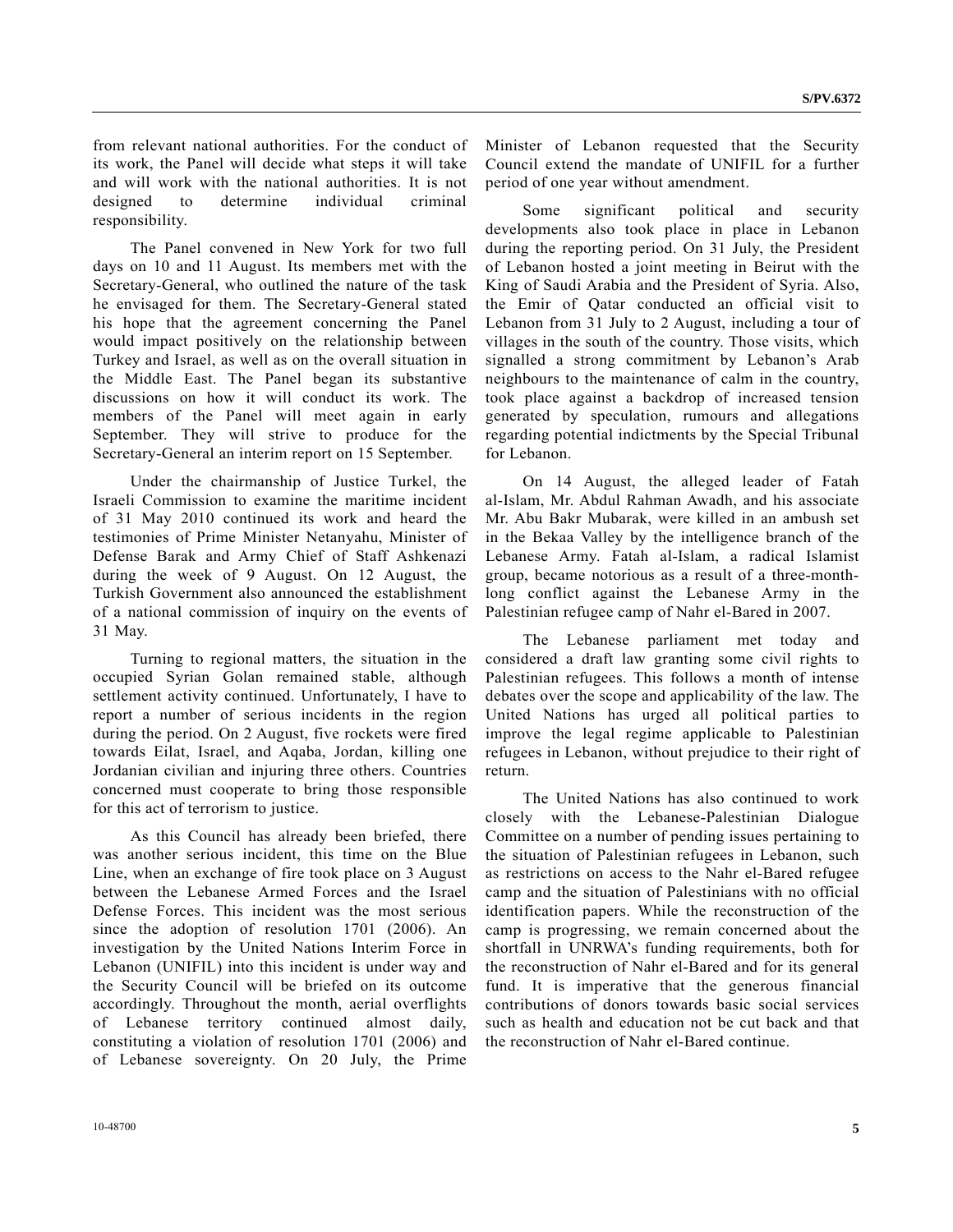from relevant national authorities. For the conduct of its work, the Panel will decide what steps it will take and will work with the national authorities. It is not designed to determine individual criminal responsibility.

 The Panel convened in New York for two full days on 10 and 11 August. Its members met with the Secretary-General, who outlined the nature of the task he envisaged for them. The Secretary-General stated his hope that the agreement concerning the Panel would impact positively on the relationship between Turkey and Israel, as well as on the overall situation in the Middle East. The Panel began its substantive discussions on how it will conduct its work. The members of the Panel will meet again in early September. They will strive to produce for the Secretary-General an interim report on 15 September.

 Under the chairmanship of Justice Turkel, the Israeli Commission to examine the maritime incident of 31 May 2010 continued its work and heard the testimonies of Prime Minister Netanyahu, Minister of Defense Barak and Army Chief of Staff Ashkenazi during the week of 9 August. On 12 August, the Turkish Government also announced the establishment of a national commission of inquiry on the events of 31 May.

 Turning to regional matters, the situation in the occupied Syrian Golan remained stable, although settlement activity continued. Unfortunately, I have to report a number of serious incidents in the region during the period. On 2 August, five rockets were fired towards Eilat, Israel, and Aqaba, Jordan, killing one Jordanian civilian and injuring three others. Countries concerned must cooperate to bring those responsible for this act of terrorism to justice.

 As this Council has already been briefed, there was another serious incident, this time on the Blue Line, when an exchange of fire took place on 3 August between the Lebanese Armed Forces and the Israel Defense Forces. This incident was the most serious since the adoption of resolution 1701 (2006). An investigation by the United Nations Interim Force in Lebanon (UNIFIL) into this incident is under way and the Security Council will be briefed on its outcome accordingly. Throughout the month, aerial overflights of Lebanese territory continued almost daily, constituting a violation of resolution 1701 (2006) and of Lebanese sovereignty. On 20 July, the Prime Minister of Lebanon requested that the Security Council extend the mandate of UNIFIL for a further period of one year without amendment.

 Some significant political and security developments also took place in place in Lebanon during the reporting period. On 31 July, the President of Lebanon hosted a joint meeting in Beirut with the King of Saudi Arabia and the President of Syria. Also, the Emir of Qatar conducted an official visit to Lebanon from 31 July to 2 August, including a tour of villages in the south of the country. Those visits, which signalled a strong commitment by Lebanon's Arab neighbours to the maintenance of calm in the country, took place against a backdrop of increased tension generated by speculation, rumours and allegations regarding potential indictments by the Special Tribunal for Lebanon.

 On 14 August, the alleged leader of Fatah al-Islam, Mr. Abdul Rahman Awadh, and his associate Mr. Abu Bakr Mubarak, were killed in an ambush set in the Bekaa Valley by the intelligence branch of the Lebanese Army. Fatah al-Islam, a radical Islamist group, became notorious as a result of a three-monthlong conflict against the Lebanese Army in the Palestinian refugee camp of Nahr el-Bared in 2007.

 The Lebanese parliament met today and considered a draft law granting some civil rights to Palestinian refugees. This follows a month of intense debates over the scope and applicability of the law. The United Nations has urged all political parties to improve the legal regime applicable to Palestinian refugees in Lebanon, without prejudice to their right of return.

 The United Nations has also continued to work closely with the Lebanese-Palestinian Dialogue Committee on a number of pending issues pertaining to the situation of Palestinian refugees in Lebanon, such as restrictions on access to the Nahr el-Bared refugee camp and the situation of Palestinians with no official identification papers. While the reconstruction of the camp is progressing, we remain concerned about the shortfall in UNRWA's funding requirements, both for the reconstruction of Nahr el-Bared and for its general fund. It is imperative that the generous financial contributions of donors towards basic social services such as health and education not be cut back and that the reconstruction of Nahr el-Bared continue.